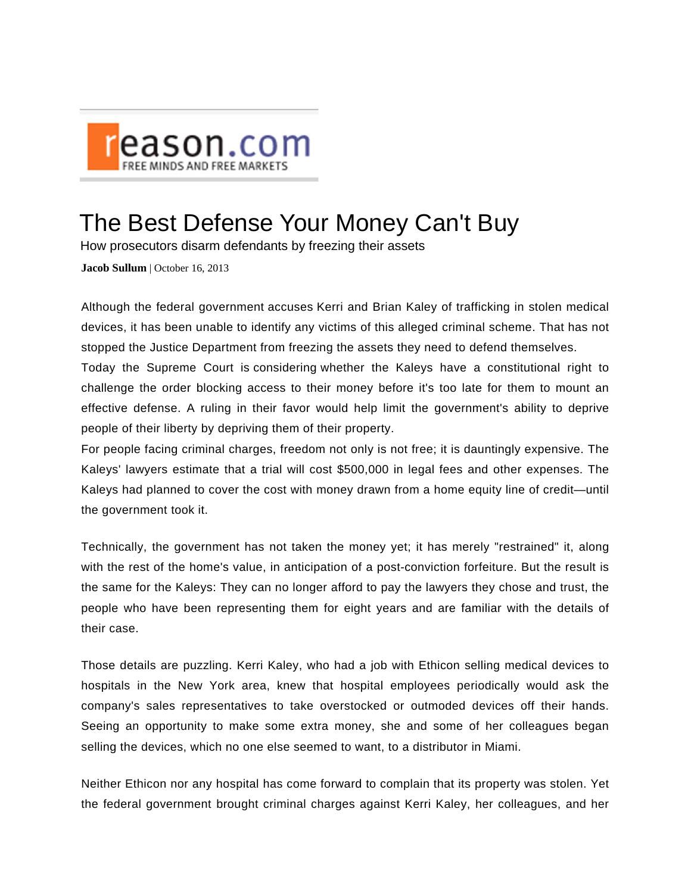

## The Best Defense Your Money Can't Buy

How prosecutors disarm defendants by freezing their assets

**Jacob Sullum** | October 16, 2013

Although the federal government accuses Kerri and Brian Kaley of trafficking in stolen medical devices, it has been unable to identify any victims of this alleged criminal scheme. That has not stopped the Justice Department from freezing the assets they need to defend themselves.

Today the Supreme Court is considering whether the Kaleys have a constitutional right to challenge the order blocking access to their money before it's too late for them to mount an effective defense. A ruling in their favor would help limit the government's ability to deprive people of their liberty by depriving them of their property.

For people facing criminal charges, freedom not only is not free; it is dauntingly expensive. The Kaleys' lawyers estimate that a trial will cost \$500,000 in legal fees and other expenses. The Kaleys had planned to cover the cost with money drawn from a home equity line of credit—until the government took it.

Technically, the government has not taken the money yet; it has merely "restrained" it, along with the rest of the home's value, in anticipation of a post-conviction forfeiture. But the result is the same for the Kaleys: They can no longer afford to pay the lawyers they chose and trust, the people who have been representing them for eight years and are familiar with the details of their case.

Those details are puzzling. Kerri Kaley, who had a job with Ethicon selling medical devices to hospitals in the New York area, knew that hospital employees periodically would ask the company's sales representatives to take overstocked or outmoded devices off their hands. Seeing an opportunity to make some extra money, she and some of her colleagues began selling the devices, which no one else seemed to want, to a distributor in Miami.

Neither Ethicon nor any hospital has come forward to complain that its property was stolen. Yet the federal government brought criminal charges against Kerri Kaley, her colleagues, and her